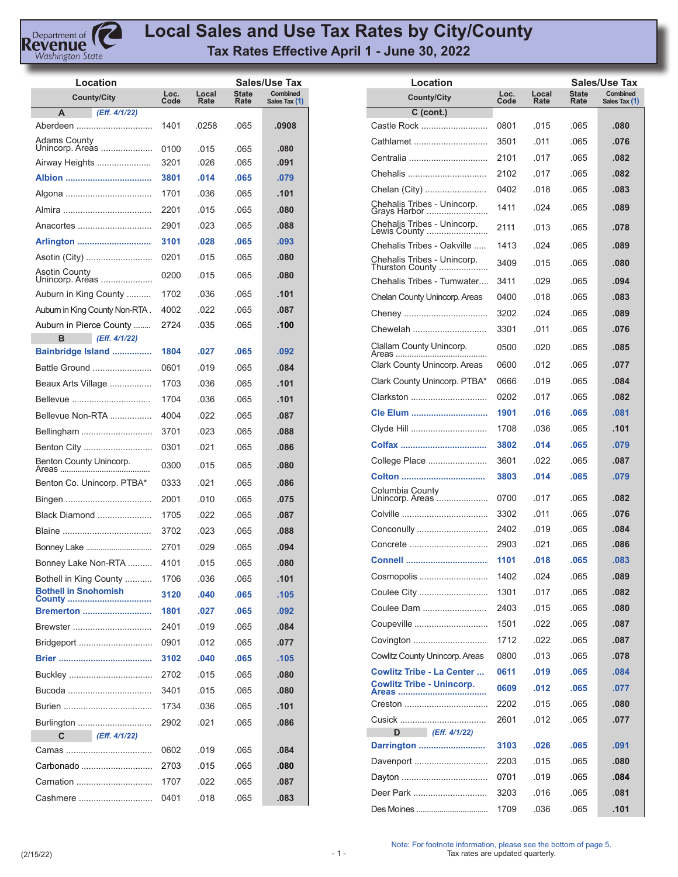

## **Local Sales and Use Tax Rates by City/County Tax Rates Effective April 1 - June 30, 2022**

| Location                         |              |               |                      | Sales/Use Tax                    |
|----------------------------------|--------------|---------------|----------------------|----------------------------------|
| <b>County/City</b>               | Loc.<br>Code | Local<br>Rate | <b>State</b><br>Rate | <b>Combined</b><br>Sales Tax (1) |
| А<br>(Eff. 4/1/22)               |              |               |                      |                                  |
| Aberdeen                         | 1401         | .0258         | .065                 | .0908                            |
| Adams County<br>Unincorp. Areas  | 0100         | .015          | .065                 | .080                             |
| Airway Heights                   | 3201         | .026          | .065                 | .091                             |
|                                  | 3801         | .014          | .065                 | .079                             |
|                                  | 1701         | .036          | .065                 | .101                             |
|                                  | 2201         | .015          | .065                 | .080                             |
| Anacortes                        | 2901         | .023          | .065                 | .088                             |
| Arlington                        | 3101         | .028          | .065                 | .093                             |
| Asotin (City)                    | 0201         | .015          | .065                 | .080                             |
| Asotin County<br>Unincorp. Areas | 0200         | .015          | .065                 | .080                             |
| Auburn in King County            | 1702         | .036          | .065                 | .101                             |
| Auburn in King County Non-RTA.   | 4002         | .022          | .065                 | .087                             |
| Auburn in Pierce County          | 2724         | .035          | .065                 | .100                             |
| в<br>(Eff. 4/1/22)               |              |               |                      |                                  |
| Bainbridge Island                | 1804         | .027          | .065                 | .092                             |
| Battle Ground                    | 0601         | .019          | .065                 | .084                             |
| Beaux Arts Village               | 1703         | .036          | .065                 | .101                             |
| Bellevue                         | 1704         | .036          | .065                 | .101                             |
| Bellevue Non-RTA                 | 4004         | .022          | .065                 | .087                             |
| Bellingham                       | 3701         | .023          | .065                 | .088                             |
| Benton City                      | 0301         | .021          | .065                 | .086                             |
| Benton County Unincorp.          | 0300         | .015          | .065                 | .080                             |
| Benton Co. Unincorp. PTBA*       | 0333         | .021          | .065                 | .086                             |
|                                  | 2001         | .010          | .065                 | .075                             |
| Black Diamond                    | 1705         | .022          | .065                 | .087                             |
|                                  | 3702         | .023          | .065                 | .088                             |
| Bonney Lake                      | 2701         | .029          | .065                 | .094                             |
| Bonney Lake Non-RTA              | 4101         | .015          | .065                 | .080                             |
| Bothell in King County           | 1706         | .036          | .065                 | .101                             |
| <b>Bothell in Snohomish</b>      | 3120         | .040          | .065                 | .105                             |
| <b>Bremerton </b>                | 1801         | .027          | .065                 | .092                             |
| Brewster                         | 2401         | .019          | .065                 | .084                             |
| Bridgeport                       | 0901         | .012          | .065                 | .077                             |
|                                  | 3102         | .040          | .065                 | .105                             |
|                                  | 2702         | .015          | .065                 | .080                             |
| Bucoda                           | 3401         | .015          | .065                 | .080                             |
|                                  | 1734         | .036          | .065                 | .101                             |
| Burlington                       | 2902         | .021          | .065                 | .086                             |
| C<br>(Eff. 4/1/22)               |              |               |                      |                                  |
|                                  | 0602         | .019          | .065                 | .084                             |
| Carbonado                        | 2703         | .015          | .065                 | .080                             |
| Carnation                        | 1707         | .022          | .065                 | .087                             |
| Cashmere                         | 0401         | .018          | .065                 | .083                             |

| Location                                       |              |               |                      | Sales/Use Tax             |
|------------------------------------------------|--------------|---------------|----------------------|---------------------------|
| <b>County/City</b>                             | Loc.<br>Code | Local<br>Rate | <b>State</b><br>Rate | Combined<br>Sales Tax (1) |
| C (cont.)                                      |              |               |                      |                           |
| Castle Rock                                    | 0801         | .015          | .065                 | .080                      |
| Cathlamet                                      | 3501         | 011           | .065                 | .076                      |
| Centralia                                      | 2101         | .017          | .065                 | .082                      |
| Chehalis                                       | 2102         | .017          | .065                 | .082                      |
| Chelan (City)                                  | 0402         | .018          | .065                 | .083                      |
| Chehalis Tribes - Unincorp.<br>Grays Harbor    | 1411         | .024          | .065                 | .089                      |
| Chehalis Tribes - Unincorp.<br>Lewis County    | 2111         | .013          | .065                 | .078                      |
| Chehalis Tribes - Oakville                     | 1413         | .024          | .065                 | .089                      |
| Chehalis Tribes - Unincorp.<br>Thurston County | 3409         | .015          | .065                 | .080                      |
| Chehalis Tribes - Tumwater                     | 3411         | .029          | .065                 | .094                      |
| Chelan County Unincorp. Areas                  | 0400         | .018          | .065                 | .083                      |
|                                                | 3202         | .024          | .065                 | .089                      |
| Chewelah                                       | 3301         | .011          | .065                 | .076                      |
| Clallam County Unincorp.<br>Areas              | 0500         | .020          | .065                 | .085                      |
| Clark County Unincorp. Areas                   | 0600         | 012           | .065                 | .077                      |
| Clark County Unincorp. PTBA*                   | 0666         | .019          | .065                 | .084                      |
| Clarkston                                      | 0202         | .017          | .065                 | .082                      |
| Cle Elum                                       | 1901         | .016          | .065                 | .081                      |
|                                                | 1708         | .036          | .065                 | .101                      |
|                                                | 3802         | .014          | .065                 | .079                      |
| College Place                                  | 3601         | .022          | .065                 | .087                      |
| Colton<br>.                                    | 3803         | .014          | .065                 | .079                      |
| Columbia County<br>Unincorp. Areas             | 0700         | .017          | .065                 | .082                      |
|                                                | 3302         | .011          | .065                 | .076                      |
| Conconully                                     | 2402         | .019          | .065                 | .084                      |
| Concrete                                       | 2903         | .021          | .065                 | .086                      |
|                                                | 1101         | .018          | .065                 | .083                      |
| Cosmopolis                                     | 1402         | .024          | .065                 | .089                      |
| Coulee City                                    | 1301         | .017          | .065                 | .082                      |
| Coulee Dam                                     | 2403         | .015          | .065                 | .080                      |
| Coupeville                                     | 1501         | .022          | .065                 | .087                      |
| Covington                                      | 1712         | .022          | .065                 | .087                      |
| Cowlitz County Unincorp. Areas                 | 0800         | .013          | .065                 | .078                      |
| <b>Cowlitz Tribe - La Center </b>              | 0611         | .019          | .065                 | .084                      |
| <b>Cowlitz Tribe - Unincorp.</b><br>Areas      | 0609         | .012          | .065                 | .077                      |
| Creston                                        | 2202         | .015          | .065                 | .080                      |
|                                                | 2601         | .012          | .065                 | .077                      |
| D<br>(Eff. 4/1/22)                             |              |               |                      |                           |
| Darrington                                     | 3103         | .026          | .065                 | .091                      |
| Davenport                                      | 2203         | .015          | .065                 | .080                      |
|                                                | 0701         | .019          | .065                 | .084                      |
| Deer Park                                      | 3203         | .016          | .065                 | .081                      |
|                                                | 1709         | .036          | .065                 | .101                      |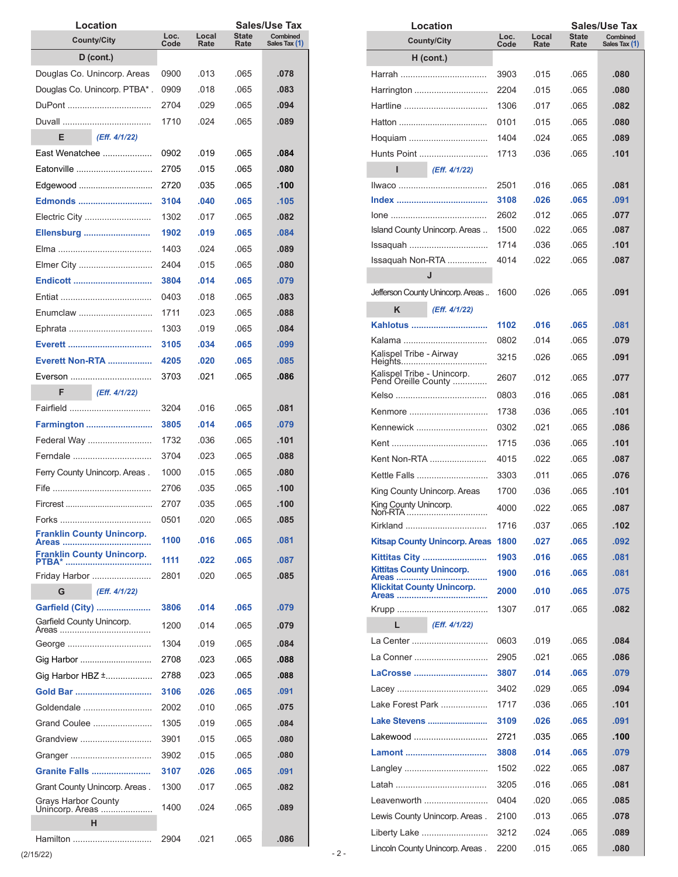| Location                                                                                                                                                                                                                       |              |               |                      | Sales/Use Tax             |
|--------------------------------------------------------------------------------------------------------------------------------------------------------------------------------------------------------------------------------|--------------|---------------|----------------------|---------------------------|
| <b>County/City</b>                                                                                                                                                                                                             | Loc.<br>Code | Local<br>Rate | <b>State</b><br>Rate | Combined<br>Sales Tax (1) |
| $D$ (cont.)                                                                                                                                                                                                                    |              |               |                      |                           |
| Douglas Co. Unincorp. Areas                                                                                                                                                                                                    | 0900         | .013          | .065                 | .078                      |
| Douglas Co. Unincorp. PTBA*.                                                                                                                                                                                                   | 0909         | .018          | .065                 | .083                      |
| DuPont                                                                                                                                                                                                                         | 2704         | .029          | .065                 | .094                      |
|                                                                                                                                                                                                                                | 1710         | .024          | .065                 | .089                      |
| Е<br>(Eff. 4/1/22)                                                                                                                                                                                                             |              |               |                      |                           |
| East Wenatchee                                                                                                                                                                                                                 | 0902         | .019          | .065                 | .084                      |
| Fatonville <b>Example</b>                                                                                                                                                                                                      | 2705         | .015          | .065                 | .080                      |
| Edgewood                                                                                                                                                                                                                       | 2720         | .035          | .065                 | .100                      |
| <b>Edmonds</b>                                                                                                                                                                                                                 | 3104         | .040          | .065                 | .105                      |
| Electric City                                                                                                                                                                                                                  | 1302         | .017          | .065                 | .082                      |
| Ellensburg                                                                                                                                                                                                                     | 1902         | .019          | .065                 | .084                      |
|                                                                                                                                                                                                                                | 1403         | 024           | .065                 | .089                      |
| Elmer City                                                                                                                                                                                                                     | 2404         | .015          | .065                 | .080                      |
| <b>Endicott </b>                                                                                                                                                                                                               | 3804         | .014          | .065                 | .079                      |
|                                                                                                                                                                                                                                | 0403         | .018          | .065                 | .083                      |
| Enumclaw                                                                                                                                                                                                                       | 1711         | .023          | .065                 | .088                      |
|                                                                                                                                                                                                                                | 1303         | .019          | .065                 | .084                      |
|                                                                                                                                                                                                                                | 3105         | .034          | .065                 | .099                      |
| <b>Everett Non-RTA </b>                                                                                                                                                                                                        | 4205         | .020          | .065                 | .085                      |
| Everson                                                                                                                                                                                                                        | 3703         | .021          | .065                 | .086                      |
| F<br>(Eff. 4/1/22)                                                                                                                                                                                                             |              |               |                      |                           |
| Fairfield                                                                                                                                                                                                                      | 3204         | .016          | .065                 | .081                      |
| Farmington                                                                                                                                                                                                                     | 3805         | .014          | .065                 | .079                      |
| Federal Way                                                                                                                                                                                                                    | 1732         | .036          | .065                 | .101                      |
| Ferndale                                                                                                                                                                                                                       | 3704         | .023          | .065                 | .088                      |
| Ferry County Unincorp. Areas.                                                                                                                                                                                                  | 1000         | .015          | .065                 | .080                      |
| Fife the contract of the contract of the contract of the contract of the contract of the contract of the contract of the contract of the contract of the contract of the contract of the contract of the contract of the contr | 2706         | .035          | .065                 | .100                      |
|                                                                                                                                                                                                                                | 2707         | .035          | .065                 | .100                      |
|                                                                                                                                                                                                                                | 0501         | .020          | .065                 | .085                      |
| <b>Franklin County Unincorp.</b>                                                                                                                                                                                               | 1100         | .016          | .065                 | .081                      |
| Areas<br><b>Franklin County Unincorp.</b>                                                                                                                                                                                      |              |               |                      |                           |
| <b>PTBA*</b>                                                                                                                                                                                                                   | 1111         | .022          | .065                 | .087                      |
| Friday Harbor                                                                                                                                                                                                                  | 2801         | .020          | .065                 | .085                      |
| G<br>(Eff. 4/1/22)                                                                                                                                                                                                             |              |               |                      |                           |
| Garfield (City)<br>Garfield County Unincorp.                                                                                                                                                                                   | 3806         | .014          | .065                 | .079                      |
|                                                                                                                                                                                                                                | 1200         | .014          | .065                 | .079                      |
| George                                                                                                                                                                                                                         | 1304         | .019          | .065                 | .084                      |
| Gig Harbor                                                                                                                                                                                                                     | 2708         | .023          | .065                 | .088                      |
| Gig Harbor HBZ ±                                                                                                                                                                                                               | 2788         | .023          | .065                 | .088                      |
| Gold Bar                                                                                                                                                                                                                       | 3106         | .026          | .065                 | .091                      |
| Goldendale                                                                                                                                                                                                                     | 2002         | .010          | .065                 | .075                      |
| Grand Coulee                                                                                                                                                                                                                   | 1305         | .019          | .065                 | .084                      |
| Grandview                                                                                                                                                                                                                      | 3901         | .015          | .065                 | .080                      |
| Granger                                                                                                                                                                                                                        | 3902         | .015          | .065                 | .080                      |
| Granite Falls                                                                                                                                                                                                                  | 3107         | .026          | .065                 | .091                      |
| Grant County Unincorp. Areas.                                                                                                                                                                                                  | 1300         | .017          | .065                 | .082                      |
| <b>Grays Harbor County</b><br>Unincorp. Areas                                                                                                                                                                                  | 1400         | .024          | .065                 | .089                      |
| н                                                                                                                                                                                                                              |              |               |                      |                           |
| Hamilton                                                                                                                                                                                                                       | 2904         | .021          | .065                 | .086                      |

|                                            | Location                                          |              |               |               | <b>Sales/Use Tax</b>             |
|--------------------------------------------|---------------------------------------------------|--------------|---------------|---------------|----------------------------------|
|                                            | <b>County/City</b>                                | Loc.<br>Code | Local<br>Rate | State<br>Rate | <b>Combined</b><br>Sales Tax (1) |
|                                            | $H$ (cont.)                                       |              |               |               |                                  |
|                                            |                                                   |              |               |               |                                  |
|                                            |                                                   | 3903         | .015          | .065          | .080                             |
|                                            | Harrington                                        | 2204         | .015          | .065          | .080                             |
|                                            | Hartline                                          | 1306         | .017          | .065          | .082                             |
|                                            |                                                   | 0101         | .015          | .065          | .080                             |
|                                            | Hoquiam                                           | 1404         | 024           | .065          | .089                             |
|                                            |                                                   | 1713         | .036          | .065          | .101                             |
| П                                          | (Eff. 4/1/22)                                     |              |               |               |                                  |
|                                            | <u>Ilwaco </u>                                    | 2501         | .016          | .065          | .081                             |
|                                            |                                                   | 3108         | .026          | .065          | .091                             |
|                                            |                                                   | 2602         | .012          | .065          | .077                             |
|                                            | Island County Unincorp. Areas                     | 1500         | .022          | .065          | .087                             |
|                                            | Issaquah                                          | 1714         | .036          | .065          | .101                             |
|                                            | Issaquah Non-RTA                                  | 4014         | .022          | .065          | .087                             |
|                                            | J                                                 |              |               |               |                                  |
|                                            |                                                   |              |               |               |                                  |
|                                            | Jefferson County Unincorp. Areas                  | 1600         | .026          | .065          | .091                             |
| Κ                                          | (Eff. 4/1/22)                                     |              |               |               |                                  |
|                                            | Kahlotus                                          | 1102         | .016          | .065          | .081                             |
|                                            |                                                   | 0802         | .014          | .065          | .079                             |
| Kalispel Tribe - Airway<br>Heights         | .                                                 | 3215         | .026          | .065          | .091                             |
|                                            | Kalispel Tribe - Unincorp.<br>Pend Oreille County | 2607         | .012          | .065          | .077                             |
|                                            |                                                   |              |               |               |                                  |
|                                            |                                                   | 0803         | .016          | .065          | .081                             |
|                                            | Kenmore                                           | 1738         | .036          | .065          | .101                             |
|                                            | Kennewick                                         | 0302         | .021          | .065          | .086                             |
|                                            |                                                   | 1715         | .036          | .065          | .101                             |
|                                            | Kent Non-RTA                                      | 4015         | .022          | .065          | .087                             |
|                                            | Kettle Falls                                      | 3303         | .011          | .065          | .076                             |
| King County Unincorp. Areas                |                                                   | 1700         | .036          | .065          | .101                             |
| King County Unincorp.                      | Non-RTA                                           | 4000         | .022          | .065          | .087                             |
|                                            | Kirkland                                          | 1716         | .037          | .065          | .102                             |
|                                            | <b>Kitsap County Unincorp. Areas</b>              | 1800         | .027          | .065          | .092                             |
|                                            | Kittitas City                                     | 1903         | .016          | .065          | .081                             |
| <b>Kittitas County Unincorp.</b>           |                                                   | 1900         | .016          | .065          | .081                             |
| Areas<br><b>Klickitat County Unincorp.</b> |                                                   | 2000         | .010          | .065          | .075                             |
|                                            |                                                   |              |               |               |                                  |
|                                            |                                                   | 1307         | .017          | .065          | .082                             |
| L                                          | (Eff. 4/1/22)                                     |              |               |               |                                  |
|                                            | La Center                                         | 0603         | .019          | .065          | .084                             |
|                                            | La Conner                                         | 2905         | .021          | .065          | .086                             |
|                                            | LaCrosse                                          | 3807         | .014          | .065          | .079                             |
|                                            |                                                   | 3402         | .029          | .065          | .094                             |
|                                            | Lake Forest Park                                  | 1717         | .036          | .065          | .101                             |
|                                            | Lake Stevens                                      | 3109         | .026          | .065          | .091                             |
|                                            | Lakewood                                          | 2721         | .035          | .065          | .100                             |
|                                            | Lamont                                            | 3808         | .014          | .065          | .079                             |
|                                            | Langley                                           | 1502         | .022          | .065          | .087                             |
|                                            |                                                   | 3205         | .016          | .065          | .081                             |
|                                            |                                                   |              |               |               |                                  |
|                                            | Leavenworth                                       | 0404         | .020          | .065          | .085                             |
|                                            | Lewis County Unincorp. Areas.                     | 2100         | .013          | .065          | .078                             |
|                                            | Liberty Lake                                      | 3212         | .024          | .065          | .089                             |
|                                            | Lincoln County Unincorp. Areas.                   | 2200         | .015          | .065          | .080                             |

 $(2/15/22)$  - 2 -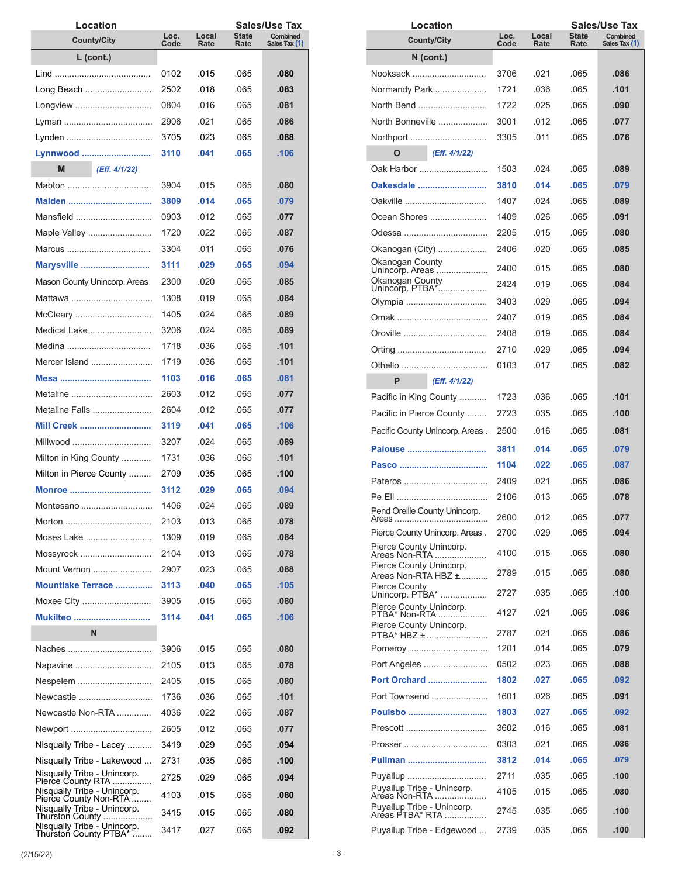| Location                                                                        |              |               |                      | Sales/Use Tax             |
|---------------------------------------------------------------------------------|--------------|---------------|----------------------|---------------------------|
| <b>County/City</b>                                                              | Loc.<br>Code | Local<br>Rate | <b>State</b><br>Rate | Combined<br>Sales Tax (1) |
| $L$ (cont.)                                                                     |              |               |                      |                           |
|                                                                                 | 0102         | .015          | .065                 | .080                      |
| Long Beach                                                                      | 2502         | .018          | .065                 | .083                      |
| Longview                                                                        | 0804         | .016          | .065                 | .081                      |
|                                                                                 | 2906         | .021          | .065                 | .086                      |
|                                                                                 | 3705         | .023          | .065                 | .088                      |
| Lynnwood                                                                        | 3110         | .041          | .065                 | .106                      |
| M<br>(Eff. 4/1/22)                                                              |              |               |                      |                           |
| Mabton                                                                          | 3904         | .015          | .065                 | .080                      |
| Malden                                                                          | 3809         | .014          | .065                 | .079                      |
| Mansfield                                                                       | 0903         | .012          | .065                 | .077                      |
| Maple Valley                                                                    | 1720         | .022          | .065                 | .087                      |
| Marcus                                                                          | 3304         | .011          | .065                 | .076                      |
| Marysville                                                                      | 3111         | .029          | .065                 | .094                      |
| Mason County Unincorp. Areas                                                    | 2300         | .020          | .065                 | .085                      |
| Mattawa                                                                         | 1308         | .019          | .065                 | .084                      |
| McCleary                                                                        | 1405         | .024          | .065                 | .089                      |
| Medical Lake                                                                    | 3206         | .024          | .065                 | .089                      |
| Medina                                                                          | 1718         | .036          | .065                 | .101                      |
| Mercer Island                                                                   | 1719         | .036          | .065                 | .101                      |
|                                                                                 | 1103         | .016          | .065                 | .081                      |
| Metaline                                                                        | 2603         | .012          | .065                 | .077                      |
| Metaline Falls                                                                  | 2604         | .012          | .065                 | .077                      |
| <b>Mill Creek</b>                                                               | 3119         | .041          | .065                 | .106                      |
| Millwood                                                                        | 3207         | .024          | .065                 | .089                      |
| Milton in King County                                                           | 1731         | .036          | .065                 | .101                      |
| Milton in Pierce County                                                         | 2709         | .035          | .065                 | .100                      |
| Monroe                                                                          | 3112         | .029          | .065                 | .094                      |
| Montesano                                                                       | 1406         | .024          | .065                 | .089                      |
| Morton                                                                          | 2103         | .013          | .065                 | .078                      |
| Moses Lake                                                                      | 1309         | .019          | .065                 | .084                      |
| Mossyrock                                                                       | 2104         | .013          | .065                 | .078                      |
| Mount Vernon                                                                    | 2907         | .023          | .065                 | .088                      |
| Mountlake Terrace                                                               | 3113         | .040          | .065                 | .105                      |
| Moxee City                                                                      | 3905         | .015          | .065                 | .080                      |
| Mukilteo                                                                        | 3114         | .041          | .065                 | .106                      |
| N                                                                               |              |               |                      |                           |
| Naches                                                                          | 3906         | .015          | .065                 | .080                      |
| Napavine                                                                        | 2105         | .013          | .065                 | .078                      |
| Nespelem                                                                        | 2405         | .015          | .065                 | .080                      |
| Newcastle                                                                       | 1736         | .036          | .065                 | .101                      |
| Newcastle Non-RTA                                                               | 4036         | .022          | .065                 | .087                      |
| Newport                                                                         | 2605         | .012          | .065                 | .077                      |
| Nisqually Tribe - Lacey                                                         | 3419         | .029          | .065                 | .094                      |
|                                                                                 | 2731         | .035          | .065                 | .100                      |
| Nisqually Tribe - Lakewood                                                      |              |               |                      |                           |
| Nisqually Tribe - Unincorp.<br>Pierce County RTA<br>Nisqually Tribe - Unincorp. | 2725         | .029          | .065                 | .094                      |
| Pierce County Non-RTA<br>Nisqually Tribe - Unincorp.                            | 4103         | .015          | .065                 | .080                      |
| Thurston County                                                                 | 3415         | .015          | .065                 | .080                      |
| Nisqually Tribe - Unincorp.<br>Thurston County PTBA*                            | 3417         | .027          | .065                 | .092                      |

| Location                                      |              |               |               | Sales/Use Tax             |
|-----------------------------------------------|--------------|---------------|---------------|---------------------------|
| <b>County/City</b>                            | Loc.<br>Code | Local<br>Rate | State<br>Rate | Combined<br>Sales Tax (1) |
| N (cont.)                                     |              |               |               |                           |
| Nooksack                                      | 3706         | .021          | .065          | .086                      |
| Normandy Park                                 | 1721         | .036          | .065          | .101                      |
| North Bend                                    | 1722         | .025          | .065          | .090                      |
| North Bonneville                              | 3001         | .012          | .065          | .077                      |
| Northport                                     | 3305         | .011          | .065          | .076                      |
| (Eff. 4/1/22)<br>O                            |              |               |               |                           |
| Oak Harbor                                    | 1503         | .024          | .065          | .089                      |
| Oakesdale                                     | 3810         | .014          | .065          | .079                      |
| Oakville                                      | 1407         | .024          | .065          | .089                      |
| Ocean Shores                                  | 1409         | .026          | .065          | .091                      |
|                                               | 2205         | .015          | .065          | .080                      |
| Okanogan (City)                               | 2406         | .020          | .065          | .085                      |
| Okanogan County                               | 2400         | .015          | .065          | .080                      |
| Unincorp. Areas<br>Okanogan County            |              | .019          |               |                           |
| Unincorp. PTBA*                               | 2424         |               | .065          | .084                      |
| Olympia                                       | 3403         | .029          | .065          | .094                      |
|                                               | 2407         | .019          | .065          | .084                      |
| Oroville                                      | 2408         | .019          | .065          | .084                      |
|                                               | 2710         | .029          | .065          | .094                      |
|                                               | 0103         | .017          | .065          | .082                      |
| P<br>(Eff. 4/1/22)                            |              |               |               |                           |
| Pacific in King County                        | 1723         | .036          | .065          | .101                      |
| Pacific in Pierce County                      | 2723         | .035          | .065          | .100                      |
| Pacific County Unincorp. Areas.               | 2500         | .016          | .065          | .081                      |
| Palouse                                       | 3811         | .014          | .065          | .079                      |
|                                               | 1104         | .022          | .065          | .087                      |
| Pateros                                       | 2409         | .021          | .065          | .086                      |
|                                               | 2106         | .013          | .065          | .078                      |
| Pend Oreille County Unincorp.                 | 2600         | 012           | 065           | 077                       |
| Pierce County Unincorp. Areas.                | 2700         | .029          | .065          | .094                      |
| Pierce County Unincorp.<br>Areas Non-RTA      |              |               |               |                           |
| Pierce County Unincorp.                       | 4100         | .015          | .065          | .080                      |
| Areas Non-RTA HBZ ±                           | 2789         | .015          | .065          | .080                      |
| Pierce County<br>Unincorp. PTBA*              | 2727         | .035          | .065          | .100                      |
| Pierce County Unincorp.<br>PTBA* Non-RTA      | 4127         | .021          | .065          | .086                      |
| Pierce County Unincorp.                       |              |               |               |                           |
| PTBA* HBZ ±                                   | 2787<br>1201 | .021<br>.014  | .065<br>.065  | .086<br>.079              |
| Pomeroy                                       |              |               |               |                           |
| Port Angeles                                  | 0502         | .023          | .065          | .088                      |
| <b>Port Orchard </b>                          | 1802         | .027          | .065          | .092                      |
| Port Townsend                                 | 1601         | .026          | .065          | .091                      |
| Poulsbo                                       | 1803         | .027          | .065          | .092                      |
|                                               | 3602         | .016          | .065          | .081                      |
|                                               | 0303         | .021          | .065          | .086                      |
| Pullman                                       | 3812         | .014          | .065          | .079                      |
| Puyallup<br>Puyallup Tribe - Unincorp.        | 2711         | .035          | .065          | .100                      |
| Aréas Non-RTA                                 | 4105         | .015          | .065          | .080                      |
| Puyallup Tribe - Unincorp.<br>Areas PTBA* RTA | 2745         | .035          | .065          | .100                      |
| Puyallup Tribe - Edgewood                     | 2739         | .035          | .065          | .100                      |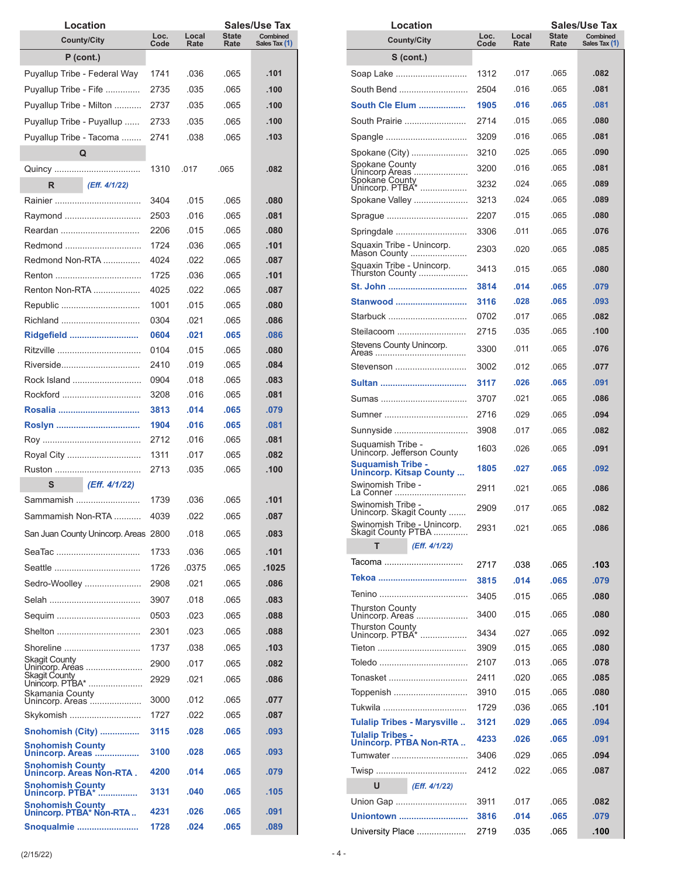| Location                                             |              |               |               | Sales/Use Tax             |
|------------------------------------------------------|--------------|---------------|---------------|---------------------------|
| <b>County/City</b>                                   | Loc.<br>Code | Local<br>Rate | State<br>Rate | Combined<br>Sales Tax (1) |
| $P$ (cont.)                                          |              |               |               |                           |
| Puyallup Tribe - Federal Way                         | 1741         | .036          | .065          | .101                      |
| Puyallup Tribe - Fife                                | 2735         | .035          | .065          | .100                      |
| Puyallup Tribe - Milton                              | 2737         | .035          | .065          | .100                      |
| Puyallup Tribe - Puyallup                            | 2733         | .035          | .065          | .100                      |
| Puyallup Tribe - Tacoma                              | 2741         | .038          | .065          | .103                      |
| Q                                                    |              |               |               |                           |
|                                                      | 1310         | .017          | .065          | .082                      |
| R<br>(Eff. 4/1/22)                                   |              |               |               |                           |
| Rainier ……………………………                                  | 3404         | .015          | .065          | .080                      |
| Raymond                                              | 2503         | .016          | .065          | .081                      |
| Reardan                                              | 2206         | .015          | .065          | .080                      |
| Redmond                                              | 1724         | .036          | .065          | .101                      |
| Redmond Non-RTA                                      | 4024         | .022          | .065          | .087                      |
|                                                      | 1725         | .036          | .065          | .101                      |
| Renton Non-RTA                                       | 4025         | .022          | .065          | .087                      |
| Republic                                             | 1001         | .015          | .065          | .080                      |
| Richland                                             | 0304         | .021          | .065          | .086                      |
| Ridgefield                                           | 0604         | .021          | .065          | .086                      |
| Ritzville                                            | 0104         | .015          | .065          | .080                      |
| Riverside                                            | 2410         | .019          | .065          | .084                      |
| Rock Island                                          | 0904         | .018          | .065          | .083                      |
| Rockford                                             | 3208         | .016          | .065          | .081                      |
| Rosalia                                              | 3813         | .014          | .065          | .079                      |
|                                                      | 1904         | .016          | .065          | .081                      |
|                                                      | 2712         | .016          | .065          | .081                      |
| Royal City                                           | 1311         | .017          | .065          | .082                      |
|                                                      | 2713         | .035          | .065          | .100                      |
| S<br>(Eff. 4/1/22)                                   |              |               |               |                           |
| Sammamish                                            | 1739         | .036          | .065          | .101                      |
| Sammamish Non-RTA                                    | 4039         | .022          | .065          | .087                      |
| San Juan County Unincorp. Areas 2800                 |              | .018          | .065          | .083                      |
| SeaTac                                               | 1733         | .036          | .065          | .101                      |
|                                                      | 1726         | .0375         | .065          | .1025                     |
| Sedro-Woolley                                        | 2908         | .021          | .065          | .086                      |
|                                                      | 3907         | .018          | .065          | .083                      |
| Sequim                                               | 0503         | .023          | .065          | .088                      |
| Shelton                                              | 2301         | .023          | .065          | .088                      |
| Shoreline                                            | 1737         | .038          | .065          | .103                      |
| Skagit County                                        | 2900         | .017          | .065          | .082                      |
| Unincorp. Areas<br>Skagit County                     | 2929         | .021          | .065          | .086                      |
| Unincorp. PTBA*<br>Skamania County                   |              |               |               |                           |
| Unincorp. Areas                                      | 3000         | .012          | .065          | .077                      |
| Skykomish                                            | 1727         | .022          | .065          | .087                      |
| Snohomish (City)                                     | 3115         | .028          | .065          | .093                      |
| <b>Snohomish County</b><br>Unincorp. Areas           | 3100         | .028          | .065          | .093                      |
| <b>Snohomish County</b><br>Unincorp. Areas Non-RTA . | 4200         | .014          | .065          | .079                      |
| <b>Snohomish County</b>                              |              |               |               |                           |
| Unincorp. PTBA*                                      | 3131         | .040          | .065          | .105                      |
| Snohomish County<br>Unincorp. PTBA* Non-RTA          | 4231         | .026          | .065          | .091                      |
| Snoqualmie                                           | 1728         | .024          | .065          | .089                      |

| Location                                                 |              |               |               | Sales/Use Tax             |
|----------------------------------------------------------|--------------|---------------|---------------|---------------------------|
| <b>County/City</b>                                       | Loc.<br>Code | Local<br>Rate | State<br>Rate | Combined<br>Sales Tax (1) |
| S (cont.)                                                |              |               |               |                           |
| Soap Lake                                                | 1312         | .017          | .065          | .082                      |
| South Bend                                               | 2504         | .016          | .065          | .081                      |
| South Cle Elum                                           | 1905         | .016          | .065          | .081                      |
| South Prairie                                            | 2714         | .015          | .065          | .080                      |
| Spangle                                                  | 3209         | .016          | .065          | .081                      |
| Spokane (City)                                           | 3210         | .025          | .065          | .090                      |
| Spokane County                                           | 3200         | .016          | .065          | .081                      |
| Unincorp Areas<br>Spokane County<br>Unincorp. PTBA*      | 3232         | .024          | .065          | .089                      |
| Spokane Valley                                           | 3213         | .024          | .065          | .089                      |
| Sprague                                                  | 2207         | .015          | .065          | .080                      |
| Springdale                                               | 3306         | .011          | .065          | .076                      |
| Squaxin Tribe - Unincorp.                                | 2303         | .020          | .065          | .085                      |
| Mason County                                             |              |               |               |                           |
| Squaxin Tribe - Unincorp.<br>Thurston County             | 3413         | .015          | .065          | .080                      |
| St. John                                                 | 3814         | .014          | .065          | .079                      |
| Stanwood                                                 | 3116         | .028          | .065          | .093                      |
| Starbuck                                                 | 0702         | .017          | .065          | .082                      |
| Steilacoom                                               | 2715         | .035          | .065          | .100                      |
| Stevens County Unincorp.                                 | 3300         | .011          | .065          | .076                      |
| Stevenson                                                | 3002         | .012          | .065          | .077                      |
|                                                          | 3117         | .026          | .065          | .091                      |
| Sumas                                                    | 3707         | .021          | .065          | .086                      |
| Sumner                                                   | 2716         | .029          | .065          | .094                      |
| Sunnyside                                                | 3908         | .017          | .065          | .082                      |
| Suquamish Tribe -<br>Unincorp. Jefferson County          | 1603         | .026          | .065          | .091                      |
| <b>Suquamish Tribe -</b>                                 | 1805         | .027          | .065          | .092                      |
| <b>Unincorp. Kitsap County</b><br>Swinomish Tribe -      | 2911         | .021          | .065          | .086                      |
| La Conner<br>Swinomish Tribe -                           | 2909         | .017          | .065          | .082                      |
| Unincorp. Skagit County<br>Swinomish Tribe - Unincorp.   |              | .021          | .065          | .086                      |
| Skagit County PTBA<br>т<br>(Eff. 4/1/22)                 | 2931         |               |               |                           |
| Tacoma                                                   |              |               |               |                           |
|                                                          | 2717         | .038          | .065          | .103                      |
|                                                          | 3815         | .014          | .065          | .079                      |
| Thurston County                                          | 3405         | .015          | .065          | .080                      |
| Unincorp. Areas                                          | 3400         | .015          | .065          | .080                      |
| Thurston County<br>Unincorp. PTBA*                       | 3434         | .027          | .065          | .092                      |
|                                                          | 3909         | .015          | .065          | .080                      |
|                                                          | 2107         | .013          | .065          | .078                      |
| Tonasket                                                 | 2411         | .020          | .065          | .085                      |
| Toppenish                                                | 3910         | .015          | .065          | .080                      |
| Tukwila                                                  | 1729         | .036          | .065          | .101                      |
| Tulalip Tribes - Marysville                              | 3121         | .029          | .065          | .094                      |
| <b>Tulalip Tribes -</b><br><b>Unincorp. PTBA Non-RTA</b> | 4233         | .026          | .065          | .091                      |
| Tumwater                                                 | 3406         | .029          | .065          | .094                      |
|                                                          | 2412         | .022          | .065          | .087                      |
| (Eff. 4/1/22)<br>U                                       |              |               |               |                           |
| Union Gap                                                | 3911         | .017          | .065          | .082                      |
| <u>Uniontown </u>                                        | 3816         | .014          | .065          | .079                      |
| University Place                                         | 2719         | .035          | .065          | .100                      |